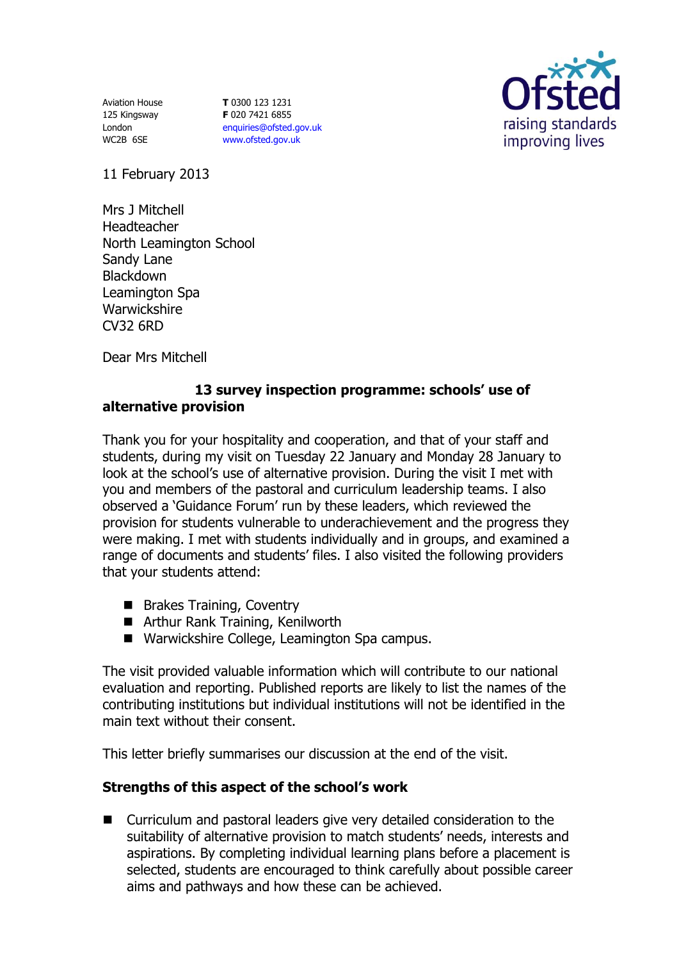Aviation House 125 Kingsway London WC2B 6SE

**T** 0300 123 1231 **F** 020 7421 6855 [enquiries@ofsted.gov.uk](mailto:enquiries@ofsted.gov.uk) [www.ofsted.gov.uk](http://www.ofsted.gov.uk/)



11 February 2013

Mrs J Mitchell Headteacher North Leamington School Sandy Lane Blackdown Leamington Spa **Warwickshire** CV32 6RD

Dear Mrs Mitchell

## **13 survey inspection programme: schools' use of alternative provision**

Thank you for your hospitality and cooperation, and that of your staff and students, during my visit on Tuesday 22 January and Monday 28 January to look at the school's use of alternative provision. During the visit I met with you and members of the pastoral and curriculum leadership teams. I also observed a 'Guidance Forum' run by these leaders, which reviewed the provision for students vulnerable to underachievement and the progress they were making. I met with students individually and in groups, and examined a range of documents and students' files. I also visited the following providers that your students attend:

- **Brakes Training, Coventry**
- Arthur Rank Training, Kenilworth
- Warwickshire College, Leamington Spa campus.

The visit provided valuable information which will contribute to our national evaluation and reporting. Published reports are likely to list the names of the contributing institutions but individual institutions will not be identified in the main text without their consent.

This letter briefly summarises our discussion at the end of the visit.

## **Strengths of this aspect of the school's work**

■ Curriculum and pastoral leaders give very detailed consideration to the suitability of alternative provision to match students' needs, interests and aspirations. By completing individual learning plans before a placement is selected, students are encouraged to think carefully about possible career aims and pathways and how these can be achieved.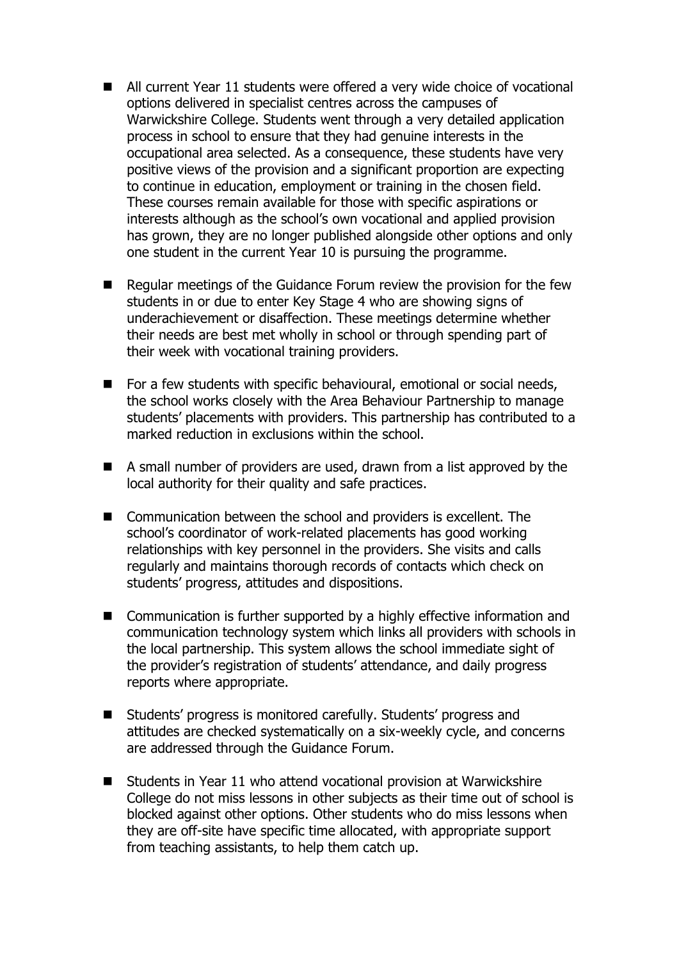- All current Year 11 students were offered a very wide choice of vocational options delivered in specialist centres across the campuses of Warwickshire College. Students went through a very detailed application process in school to ensure that they had genuine interests in the occupational area selected. As a consequence, these students have very positive views of the provision and a significant proportion are expecting to continue in education, employment or training in the chosen field. These courses remain available for those with specific aspirations or interests although as the school's own vocational and applied provision has grown, they are no longer published alongside other options and only one student in the current Year 10 is pursuing the programme.
- Regular meetings of the Guidance Forum review the provision for the few students in or due to enter Key Stage 4 who are showing signs of underachievement or disaffection. These meetings determine whether their needs are best met wholly in school or through spending part of their week with vocational training providers.
- For a few students with specific behavioural, emotional or social needs, the school works closely with the Area Behaviour Partnership to manage students' placements with providers. This partnership has contributed to a marked reduction in exclusions within the school.
- A small number of providers are used, drawn from a list approved by the local authority for their quality and safe practices.
- Communication between the school and providers is excellent. The school's coordinator of work-related placements has good working relationships with key personnel in the providers. She visits and calls regularly and maintains thorough records of contacts which check on students' progress, attitudes and dispositions.
- Communication is further supported by a highly effective information and communication technology system which links all providers with schools in the local partnership. This system allows the school immediate sight of the provider's registration of students' attendance, and daily progress reports where appropriate.
- Students' progress is monitored carefully. Students' progress and attitudes are checked systematically on a six-weekly cycle, and concerns are addressed through the Guidance Forum.
- Students in Year 11 who attend vocational provision at Warwickshire College do not miss lessons in other subjects as their time out of school is blocked against other options. Other students who do miss lessons when they are off-site have specific time allocated, with appropriate support from teaching assistants, to help them catch up.